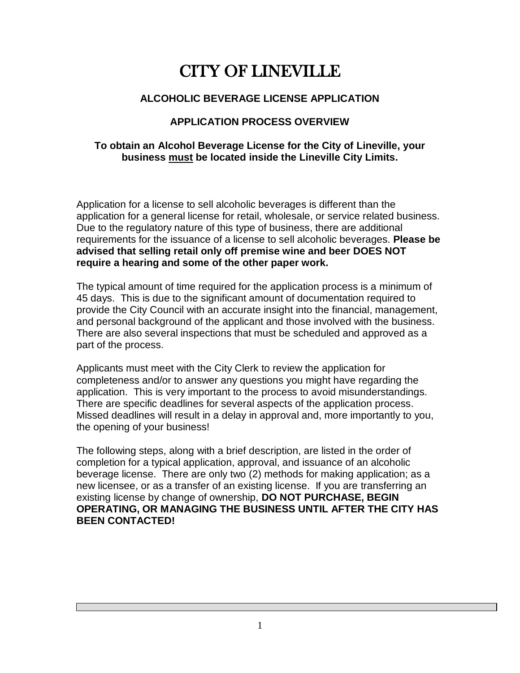# CITY OF LINEVILLE

### **ALCOHOLIC BEVERAGE LICENSE APPLICATION**

### **APPLICATION PROCESS OVERVIEW**

#### **To obtain an Alcohol Beverage License for the City of Lineville, your business must be located inside the Lineville City Limits.**

Application for a license to sell alcoholic beverages is different than the application for a general license for retail, wholesale, or service related business. Due to the regulatory nature of this type of business, there are additional requirements for the issuance of a license to sell alcoholic beverages. **Please be advised that selling retail only off premise wine and beer DOES NOT require a hearing and some of the other paper work.** 

The typical amount of time required for the application process is a minimum of 45 days. This is due to the significant amount of documentation required to provide the City Council with an accurate insight into the financial, management, and personal background of the applicant and those involved with the business. There are also several inspections that must be scheduled and approved as a part of the process.

Applicants must meet with the City Clerk to review the application for completeness and/or to answer any questions you might have regarding the application. This is very important to the process to avoid misunderstandings. There are specific deadlines for several aspects of the application process. Missed deadlines will result in a delay in approval and, more importantly to you, the opening of your business!

The following steps, along with a brief description, are listed in the order of completion for a typical application, approval, and issuance of an alcoholic beverage license. There are only two (2) methods for making application; as a new licensee, or as a transfer of an existing license. If you are transferring an existing license by change of ownership, **DO NOT PURCHASE, BEGIN OPERATING, OR MANAGING THE BUSINESS UNTIL AFTER THE CITY HAS BEEN CONTACTED!**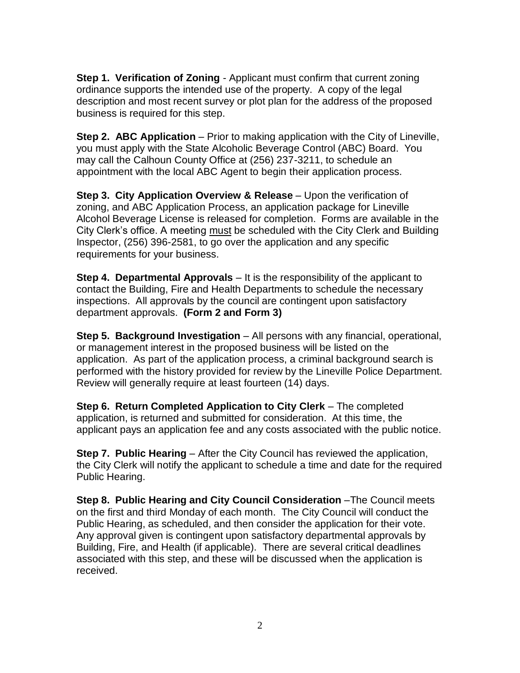**Step 1. Verification of Zoning** - Applicant must confirm that current zoning ordinance supports the intended use of the property. A copy of the legal description and most recent survey or plot plan for the address of the proposed business is required for this step.

**Step 2. ABC Application** – Prior to making application with the City of Lineville, you must apply with the State Alcoholic Beverage Control (ABC) Board. You may call the Calhoun County Office at (256) 237-3211, to schedule an appointment with the local ABC Agent to begin their application process.

**Step 3. City Application Overview & Release** – Upon the verification of zoning, and ABC Application Process, an application package for Lineville Alcohol Beverage License is released for completion. Forms are available in the City Clerk's office. A meeting must be scheduled with the City Clerk and Building Inspector, (256) 396-2581, to go over the application and any specific requirements for your business.

**Step 4. Departmental Approvals** – It is the responsibility of the applicant to contact the Building, Fire and Health Departments to schedule the necessary inspections. All approvals by the council are contingent upon satisfactory department approvals. **(Form 2 and Form 3)**

**Step 5. Background Investigation** – All persons with any financial, operational, or management interest in the proposed business will be listed on the application. As part of the application process, a criminal background search is performed with the history provided for review by the Lineville Police Department. Review will generally require at least fourteen (14) days.

**Step 6. Return Completed Application to City Clerk** – The completed application, is returned and submitted for consideration. At this time, the applicant pays an application fee and any costs associated with the public notice.

**Step 7. Public Hearing** – After the City Council has reviewed the application, the City Clerk will notify the applicant to schedule a time and date for the required Public Hearing.

**Step 8. Public Hearing and City Council Consideration** –The Council meets on the first and third Monday of each month. The City Council will conduct the Public Hearing, as scheduled, and then consider the application for their vote. Any approval given is contingent upon satisfactory departmental approvals by Building, Fire, and Health (if applicable). There are several critical deadlines associated with this step, and these will be discussed when the application is received.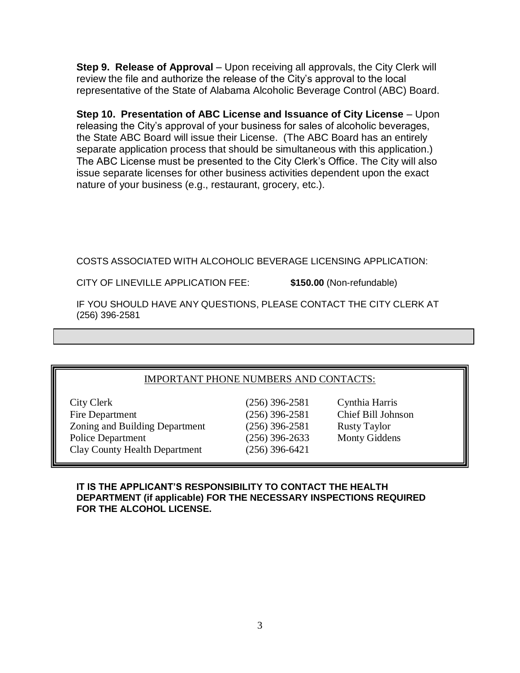**Step 9. Release of Approval** – Upon receiving all approvals, the City Clerk will review the file and authorize the release of the City's approval to the local representative of the State of Alabama Alcoholic Beverage Control (ABC) Board.

**Step 10. Presentation of ABC License and Issuance of City License** – Upon releasing the City's approval of your business for sales of alcoholic beverages, the State ABC Board will issue their License. (The ABC Board has an entirely separate application process that should be simultaneous with this application.) The ABC License must be presented to the City Clerk's Office. The City will also issue separate licenses for other business activities dependent upon the exact nature of your business (e.g., restaurant, grocery, etc.).

COSTS ASSOCIATED WITH ALCOHOLIC BEVERAGE LICENSING APPLICATION:

CITY OF LINEVILLE APPLICATION FEE: **\$150.00** (Non-refundable)

IF YOU SHOULD HAVE ANY QUESTIONS, PLEASE CONTACT THE CITY CLERK AT (256) 396-2581

| <b>IMPORTANT PHONE NUMBERS AND CONTACTS:</b> |
|----------------------------------------------|
|----------------------------------------------|

| City Clerk                           |
|--------------------------------------|
| Fire Department                      |
| Zoning and Building Department       |
| <b>Police Department</b>             |
| <b>Clay County Health Department</b> |
|                                      |

 $(256)$  396-2581 Rusty Taylor  $(256)$  396-6421

 $(256)$  396-2581 Cynthia Harris  $(256)$  396-2581 Chief Bill Johnson  $(256)$  396-2633 Monty Giddens

**IT IS THE APPLICANT'S RESPONSIBILITY TO CONTACT THE HEALTH DEPARTMENT (if applicable) FOR THE NECESSARY INSPECTIONS REQUIRED FOR THE ALCOHOL LICENSE.**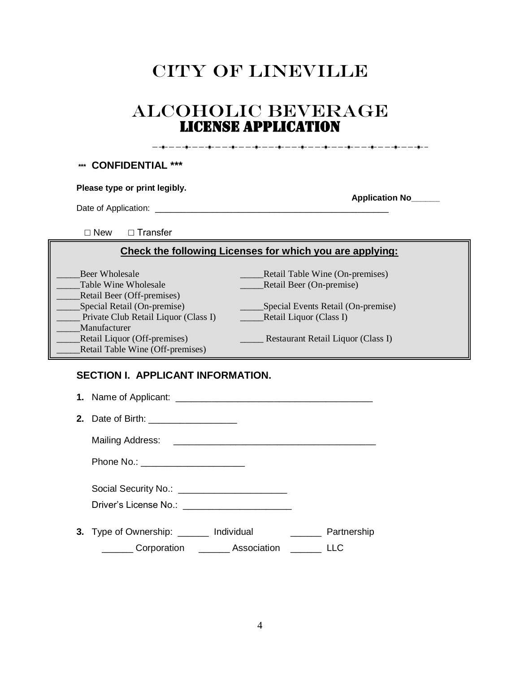# CITY OF LINEVILLE

# ALCOHOLIC BEVERAGE LICENSE APPLICATION

<del>▁</del>▁▗▊▁▁▁▁▖▋▖▁▁▁▗▊▖▁▁▁▗▊▖▂▁▖▖▊▖▂▁▖▏▊▖▁▁▁▖▋▖▁▁▁▗▋▖▁▁▖▁▋▖▁▁▁▎▁▌▖▁▁▎▁▎▁▁▎▁▁▎▁

#### **\*\*\* CONFIDENTIAL \*\*\***

Date of Application: \_\_\_\_\_\_\_\_\_\_\_\_\_\_\_\_\_\_\_\_\_\_\_\_\_\_\_\_\_\_\_\_\_\_\_\_\_\_\_\_\_\_\_\_\_

 **Application No\_\_\_\_\_\_**

☐ New ☐ Transfer

#### **Check the following Licenses for which you are applying:**

| Beer Wholesale                       | Retail Table Wine (On-premises)    |
|--------------------------------------|------------------------------------|
| Table Wine Wholesale                 | Retail Beer (On-premise)           |
| Retail Beer (Off-premises)           |                                    |
| Special Retail (On-premise)          | Special Events Retail (On-premise) |
| Private Club Retail Liquor (Class I) | Retail Liquor (Class I)            |
| Manufacturer                         |                                    |
| <b>Retail Liquor (Off-premises)</b>  | Restaurant Retail Liquor (Class I) |
| Retail Table Wine (Off-premises)     |                                    |

#### **SECTION I. APPLICANT INFORMATION.**

| 2. Date of Birth: ___________________                   |                    |                                       |                    |
|---------------------------------------------------------|--------------------|---------------------------------------|--------------------|
|                                                         |                    |                                       |                    |
| Phone No.: ________________________                     |                    |                                       |                    |
| Social Security No.: ________________________           |                    |                                       |                    |
| 3. Type of Ownership: _______ Individual<br>Corporation | <b>Association</b> | <u> 1986 - Jan Barbara III, martx</u> | Partnership<br>LLC |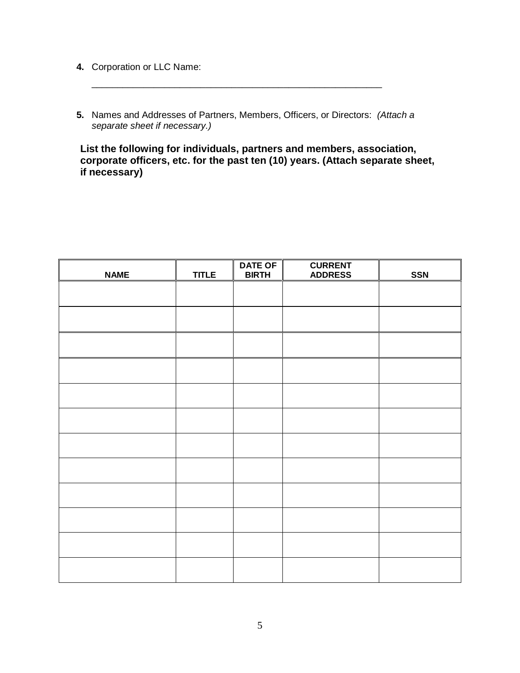- **4.** Corporation or LLC Name:
- **5.** Names and Addresses of Partners, Members, Officers, or Directors: *(Attach a separate sheet if necessary.)*

\_\_\_\_\_\_\_\_\_\_\_\_\_\_\_\_\_\_\_\_\_\_\_\_\_\_\_\_\_\_\_\_\_\_\_\_\_\_\_\_\_\_\_\_\_\_\_\_\_\_\_\_\_\_\_\_

**List the following for individuals, partners and members, association, corporate officers, etc. for the past ten (10) years. (Attach separate sheet, if necessary)** 

| <b>NAME</b> | <b>TITLE</b> | <b>DATE OF</b><br><b>BIRTH</b> | <b>CURRENT</b><br><b>ADDRESS</b> | <b>SSN</b> |
|-------------|--------------|--------------------------------|----------------------------------|------------|
|             |              |                                |                                  |            |
|             |              |                                |                                  |            |
|             |              |                                |                                  |            |
|             |              |                                |                                  |            |
|             |              |                                |                                  |            |
|             |              |                                |                                  |            |
|             |              |                                |                                  |            |
|             |              |                                |                                  |            |
|             |              |                                |                                  |            |
|             |              |                                |                                  |            |
|             |              |                                |                                  |            |
|             |              |                                |                                  |            |
|             |              |                                |                                  |            |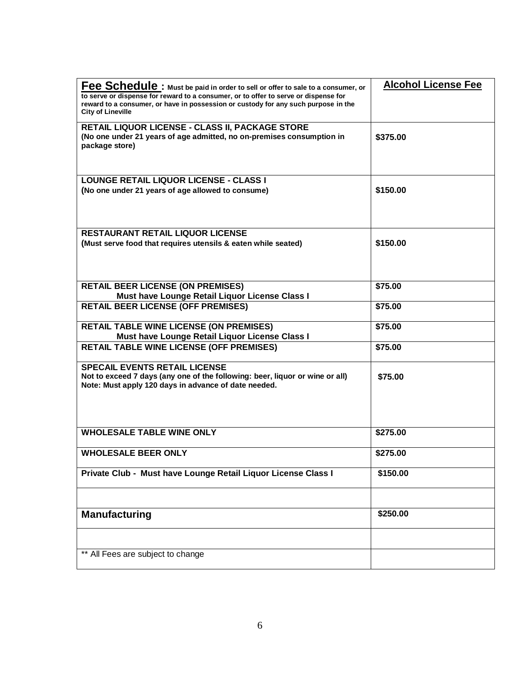| Fee Schedule: Must be paid in order to sell or offer to sale to a consumer, or<br>to serve or dispense for reward to a consumer, or to offer to serve or dispense for<br>reward to a consumer, or have in possession or custody for any such purpose in the<br><b>City of Lineville</b> | <b>Alcohol License Fee</b> |
|-----------------------------------------------------------------------------------------------------------------------------------------------------------------------------------------------------------------------------------------------------------------------------------------|----------------------------|
| RETAIL LIQUOR LICENSE - CLASS II, PACKAGE STORE<br>(No one under 21 years of age admitted, no on-premises consumption in<br>package store)                                                                                                                                              | \$375.00                   |
| <b>LOUNGE RETAIL LIQUOR LICENSE - CLASS I</b><br>(No one under 21 years of age allowed to consume)                                                                                                                                                                                      | \$150.00                   |
| <b>RESTAURANT RETAIL LIQUOR LICENSE</b><br>(Must serve food that requires utensils & eaten while seated)                                                                                                                                                                                | \$150.00                   |
| <b>RETAIL BEER LICENSE (ON PREMISES)</b><br>Must have Lounge Retail Liquor License Class I                                                                                                                                                                                              | \$75.00                    |
| <b>RETAIL BEER LICENSE (OFF PREMISES)</b>                                                                                                                                                                                                                                               | \$75.00                    |
| <b>RETAIL TABLE WINE LICENSE (ON PREMISES)</b><br>Must have Lounge Retail Liquor License Class I                                                                                                                                                                                        | \$75.00                    |
| <b>RETAIL TABLE WINE LICENSE (OFF PREMISES)</b>                                                                                                                                                                                                                                         | \$75.00                    |
| <b>SPECAIL EVENTS RETAIL LICENSE</b><br>Not to exceed 7 days (any one of the following: beer, liquor or wine or all)<br>Note: Must apply 120 days in advance of date needed.                                                                                                            | \$75.00                    |
| <b>WHOLESALE TABLE WINE ONLY</b>                                                                                                                                                                                                                                                        | \$275.00                   |
| <b>WHOLESALE BEER ONLY</b>                                                                                                                                                                                                                                                              | \$275.00                   |
| Private Club - Must have Lounge Retail Liquor License Class I                                                                                                                                                                                                                           | \$150.00                   |
| <b>Manufacturing</b>                                                                                                                                                                                                                                                                    | \$250.00                   |
|                                                                                                                                                                                                                                                                                         |                            |
| ** All Fees are subject to change                                                                                                                                                                                                                                                       |                            |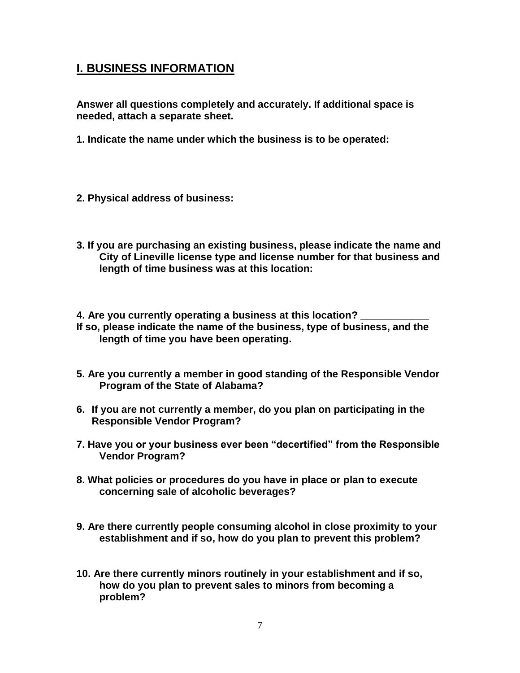## **I. BUSINESS INFORMATION**

**Answer all questions completely and accurately. If additional space is needed, attach a separate sheet.**

- **1. Indicate the name under which the business is to be operated:**
- **2. Physical address of business:**
- **3. If you are purchasing an existing business, please indicate the name and City of Lineville license type and license number for that business and length of time business was at this location:**

**4. Are you currently operating a business at this location? \_\_\_\_\_\_\_\_\_\_\_\_ If so, please indicate the name of the business, type of business, and the length of time you have been operating.**

- **5. Are you currently a member in good standing of the Responsible Vendor Program of the State of Alabama?**
- **6. If you are not currently a member, do you plan on participating in the Responsible Vendor Program?**
- **7. Have you or your business ever been "decertified" from the Responsible Vendor Program?**
- **8. What policies or procedures do you have in place or plan to execute concerning sale of alcoholic beverages?**
- **9. Are there currently people consuming alcohol in close proximity to your establishment and if so, how do you plan to prevent this problem?**
- **10. Are there currently minors routinely in your establishment and if so, how do you plan to prevent sales to minors from becoming a problem?**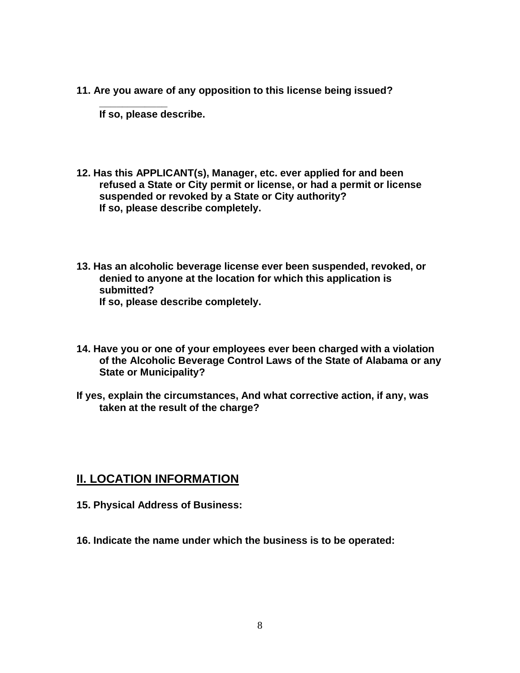**11. Are you aware of any opposition to this license being issued?** 

**If so, please describe.**

**\_\_\_\_\_\_\_\_\_\_\_\_**

- **12. Has this APPLICANT(s), Manager, etc. ever applied for and been refused a State or City permit or license, or had a permit or license suspended or revoked by a State or City authority? If so, please describe completely.**
- **13. Has an alcoholic beverage license ever been suspended, revoked, or denied to anyone at the location for which this application is submitted? If so, please describe completely.**
- **14. Have you or one of your employees ever been charged with a violation of the Alcoholic Beverage Control Laws of the State of Alabama or any State or Municipality?**
- **If yes, explain the circumstances, And what corrective action, if any, was taken at the result of the charge?**

### **II. LOCATION INFORMATION**

- **15. Physical Address of Business:**
- **16. Indicate the name under which the business is to be operated:**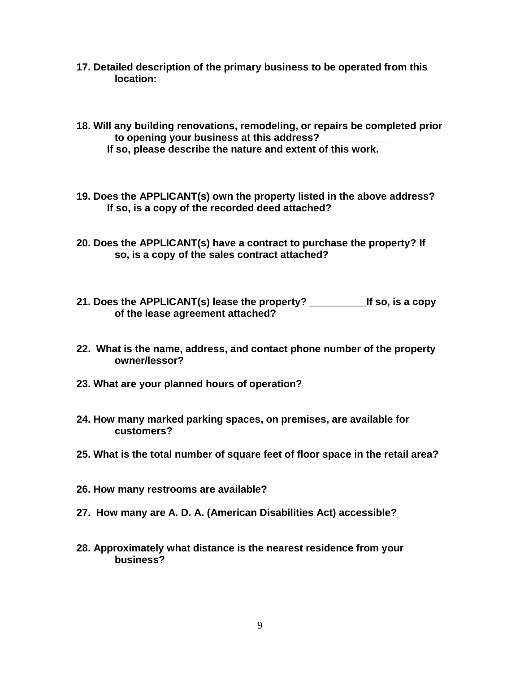- **17. Detailed description of the primary business to be operated from this location:**
- **18. Will any building renovations, remodeling, or repairs be completed prior to opening your business at this address? \_\_\_\_\_\_\_\_\_\_\_\_ If so, please describe the nature and extent of this work.**
- **19. Does the APPLICANT(s) own the property listed in the above address? If so, is a copy of the recorded deed attached?**
- **20. Does the APPLICANT(s) have a contract to purchase the property? If so, is a copy of the sales contract attached?**
- **21. Does the APPLICANT(s) lease the property? \_\_\_\_\_\_\_\_\_\_If so, is a copy of the lease agreement attached?**
- **22. What is the name, address, and contact phone number of the property owner/lessor?**
- **23. What are your planned hours of operation?**
- **24. How many marked parking spaces, on premises, are available for customers?**
- **25. What is the total number of square feet of floor space in the retail area?**
- **26. How many restrooms are available?**
- **27. How many are A. D. A. (American Disabilities Act) accessible?**
- **28. Approximately what distance is the nearest residence from your business?**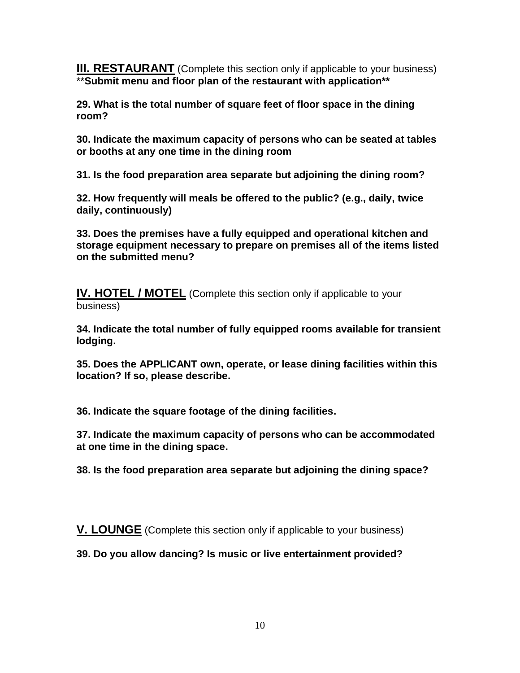**III. RESTAURANT** (Complete this section only if applicable to your business) \*\***Submit menu and floor plan of the restaurant with application\*\***

**29. What is the total number of square feet of floor space in the dining room?**

**30. Indicate the maximum capacity of persons who can be seated at tables or booths at any one time in the dining room**

**31. Is the food preparation area separate but adjoining the dining room?**

**32. How frequently will meals be offered to the public? (e.g., daily, twice daily, continuously)**

**33. Does the premises have a fully equipped and operational kitchen and storage equipment necessary to prepare on premises all of the items listed on the submitted menu?**

**IV. HOTEL / MOTEL** (Complete this section only if applicable to your business)

**34. Indicate the total number of fully equipped rooms available for transient lodging.**

**35. Does the APPLICANT own, operate, or lease dining facilities within this location? If so, please describe.**

**36. Indicate the square footage of the dining facilities.**

**37. Indicate the maximum capacity of persons who can be accommodated at one time in the dining space.**

**38. Is the food preparation area separate but adjoining the dining space?**

**V. LOUNGE** (Complete this section only if applicable to your business)

**39. Do you allow dancing? Is music or live entertainment provided?**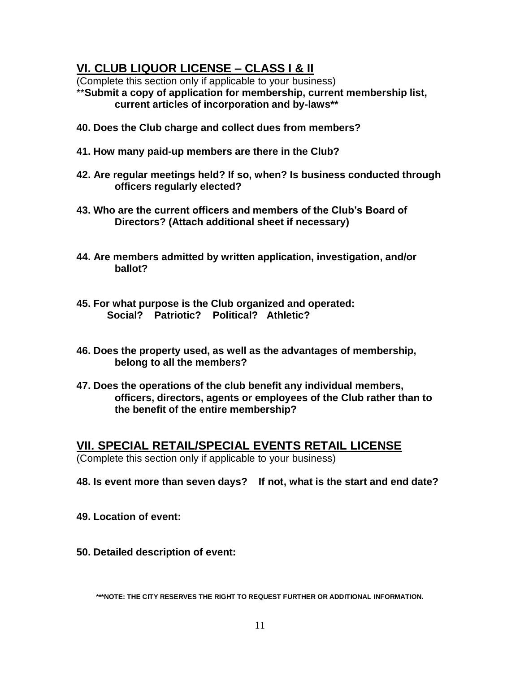## **VI. CLUB LIQUOR LICENSE – CLASS I & II**

(Complete this section only if applicable to your business)

\*\***Submit a copy of application for membership, current membership list, current articles of incorporation and by-laws\*\***

- **40. Does the Club charge and collect dues from members?**
- **41. How many paid-up members are there in the Club?**
- **42. Are regular meetings held? If so, when? Is business conducted through officers regularly elected?**
- **43. Who are the current officers and members of the Club's Board of Directors? (Attach additional sheet if necessary)**
- **44. Are members admitted by written application, investigation, and/or ballot?**
- **45. For what purpose is the Club organized and operated: Social? Patriotic? Political? Athletic?**
- **46. Does the property used, as well as the advantages of membership, belong to all the members?**
- **47. Does the operations of the club benefit any individual members, officers, directors, agents or employees of the Club rather than to the benefit of the entire membership?**

### **VII. SPECIAL RETAIL/SPECIAL EVENTS RETAIL LICENSE**

(Complete this section only if applicable to your business)

- **48. Is event more than seven days? If not, what is the start and end date?**
- **49. Location of event:**
- **50. Detailed description of event:**

**\*\*\*NOTE: THE CITY RESERVES THE RIGHT TO REQUEST FURTHER OR ADDITIONAL INFORMATION.**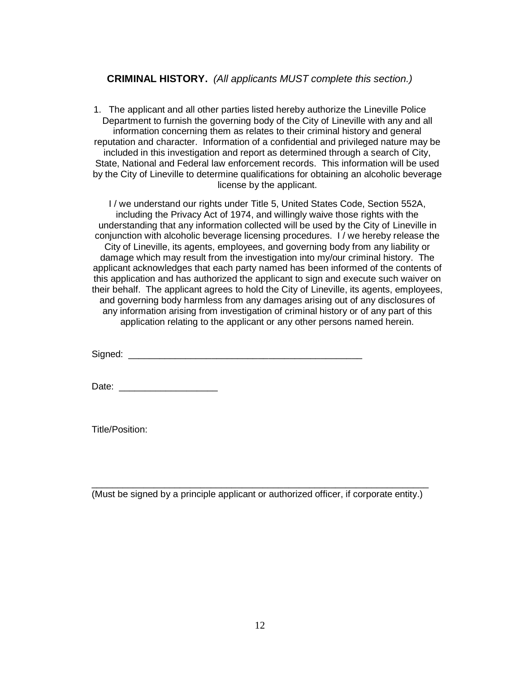#### **CRIMINAL HISTORY.** *(All applicants MUST complete this section.)*

1. The applicant and all other parties listed hereby authorize the Lineville Police Department to furnish the governing body of the City of Lineville with any and all information concerning them as relates to their criminal history and general reputation and character. Information of a confidential and privileged nature may be included in this investigation and report as determined through a search of City, State, National and Federal law enforcement records. This information will be used by the City of Lineville to determine qualifications for obtaining an alcoholic beverage license by the applicant.

I / we understand our rights under Title 5, United States Code, Section 552A, including the Privacy Act of 1974, and willingly waive those rights with the understanding that any information collected will be used by the City of Lineville in conjunction with alcoholic beverage licensing procedures. I / we hereby release the City of Lineville, its agents, employees, and governing body from any liability or damage which may result from the investigation into my/our criminal history. The applicant acknowledges that each party named has been informed of the contents of this application and has authorized the applicant to sign and execute such waiver on their behalf. The applicant agrees to hold the City of Lineville, its agents, employees, and governing body harmless from any damages arising out of any disclosures of any information arising from investigation of criminal history or of any part of this application relating to the applicant or any other persons named herein.

Signed:  $\Box$ 

Date: \_\_\_\_\_\_\_\_\_\_\_\_\_\_\_\_\_\_\_

Title/Position:

\_\_\_\_\_\_\_\_\_\_\_\_\_\_\_\_\_\_\_\_\_\_\_\_\_\_\_\_\_\_\_\_\_\_\_\_\_\_\_\_\_\_\_\_\_\_\_\_\_\_\_\_\_\_\_\_\_\_\_\_\_\_\_\_\_ (Must be signed by a principle applicant or authorized officer, if corporate entity.)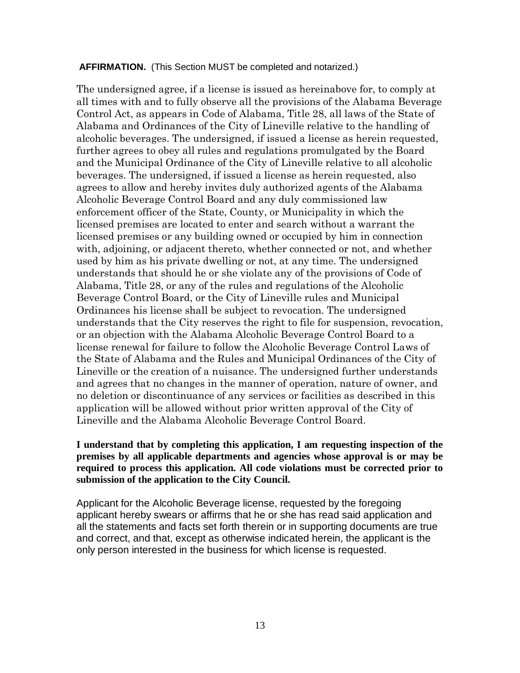#### **AFFIRMATION.** (This Section MUST be completed and notarized.)

The undersigned agree, if a license is issued as hereinabove for, to comply at all times with and to fully observe all the provisions of the Alabama Beverage Control Act, as appears in Code of Alabama, Title 28, all laws of the State of Alabama and Ordinances of the City of Lineville relative to the handling of alcoholic beverages. The undersigned, if issued a license as herein requested, further agrees to obey all rules and regulations promulgated by the Board and the Municipal Ordinance of the City of Lineville relative to all alcoholic beverages. The undersigned, if issued a license as herein requested, also agrees to allow and hereby invites duly authorized agents of the Alabama Alcoholic Beverage Control Board and any duly commissioned law enforcement officer of the State, County, or Municipality in which the licensed premises are located to enter and search without a warrant the licensed premises or any building owned or occupied by him in connection with, adjoining, or adjacent thereto, whether connected or not, and whether used by him as his private dwelling or not, at any time. The undersigned understands that should he or she violate any of the provisions of Code of Alabama, Title 28, or any of the rules and regulations of the Alcoholic Beverage Control Board, or the City of Lineville rules and Municipal Ordinances his license shall be subject to revocation. The undersigned understands that the City reserves the right to file for suspension, revocation, or an objection with the Alabama Alcoholic Beverage Control Board to a license renewal for failure to follow the Alcoholic Beverage Control Laws of the State of Alabama and the Rules and Municipal Ordinances of the City of Lineville or the creation of a nuisance. The undersigned further understands and agrees that no changes in the manner of operation, nature of owner, and no deletion or discontinuance of any services or facilities as described in this application will be allowed without prior written approval of the City of Lineville and the Alabama Alcoholic Beverage Control Board.

#### **I understand that by completing this application, I am requesting inspection of the premises by all applicable departments and agencies whose approval is or may be required to process this application. All code violations must be corrected prior to submission of the application to the City Council.**

Applicant for the Alcoholic Beverage license, requested by the foregoing applicant hereby swears or affirms that he or she has read said application and all the statements and facts set forth therein or in supporting documents are true and correct, and that, except as otherwise indicated herein, the applicant is the only person interested in the business for which license is requested.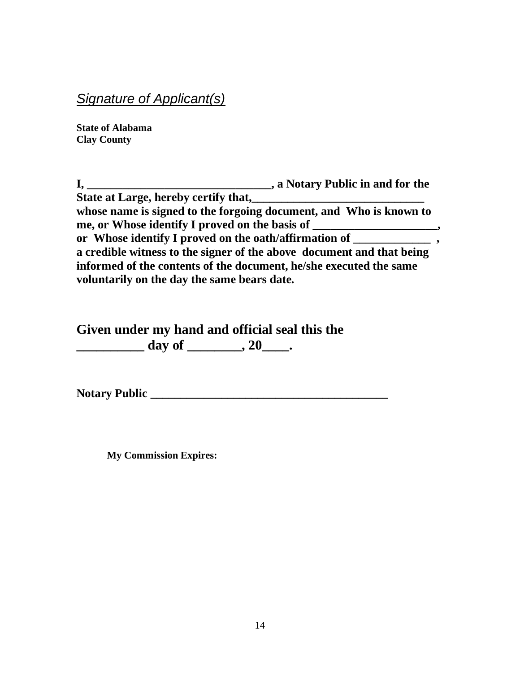# *Signature of Applicant(s)*

**State of Alabama Clay County** 

**I, \_\_\_\_\_\_\_\_\_\_\_\_\_\_\_\_\_\_\_\_\_\_\_\_\_\_\_\_\_\_\_, a Notary Public in and for the State at Large, hereby certify that, whose name is signed to the forgoing document, and Who is known to me, or Whose identify I proved on the basis of \_\_\_\_\_\_\_\_\_\_\_\_\_\_\_\_\_\_\_\_\_, or Whose identify I proved on the oath/affirmation of \_\_\_\_\_\_\_\_\_\_\_\_\_ , a credible witness to the signer of the above document and that being informed of the contents of the document, he/she executed the same voluntarily on the day the same bears date.** 

**Given under my hand and official seal this the \_\_\_\_\_\_\_\_\_\_ day of \_\_\_\_\_\_\_\_, 20\_\_\_\_.** 

**Notary Public \_\_\_\_\_\_\_\_\_\_\_\_\_\_\_\_\_\_\_\_\_\_\_\_\_\_\_\_\_\_\_\_\_\_\_\_\_\_\_\_**

**My Commission Expires:**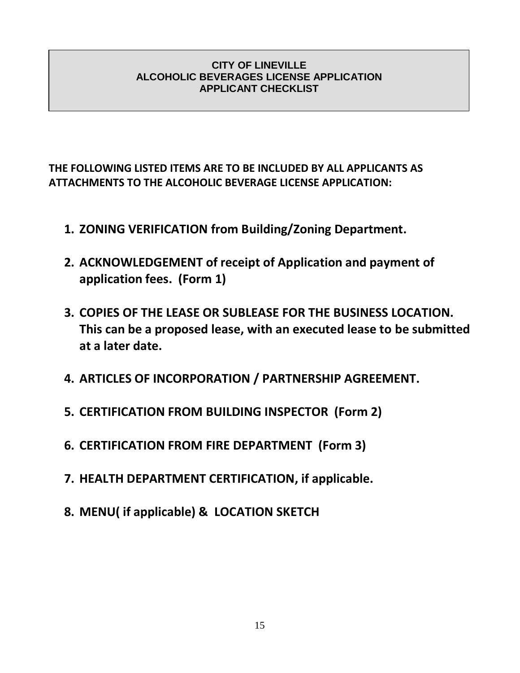#### **CITY OF LINEVILLE ALCOHOLIC BEVERAGES LICENSE APPLICATION APPLICANT CHECKLIST**

## **THE FOLLOWING LISTED ITEMS ARE TO BE INCLUDED BY ALL APPLICANTS AS ATTACHMENTS TO THE ALCOHOLIC BEVERAGE LICENSE APPLICATION:**

- **1. ZONING VERIFICATION from Building/Zoning Department.**
- **2. ACKNOWLEDGEMENT of receipt of Application and payment of application fees. (Form 1)**
- **3. COPIES OF THE LEASE OR SUBLEASE FOR THE BUSINESS LOCATION. This can be a proposed lease, with an executed lease to be submitted at a later date.**
- **4. ARTICLES OF INCORPORATION / PARTNERSHIP AGREEMENT.**
- **5. CERTIFICATION FROM BUILDING INSPECTOR (Form 2)**
- **6. CERTIFICATION FROM FIRE DEPARTMENT (Form 3)**
- **7. HEALTH DEPARTMENT CERTIFICATION, if applicable.**
- **8. MENU( if applicable) & LOCATION SKETCH**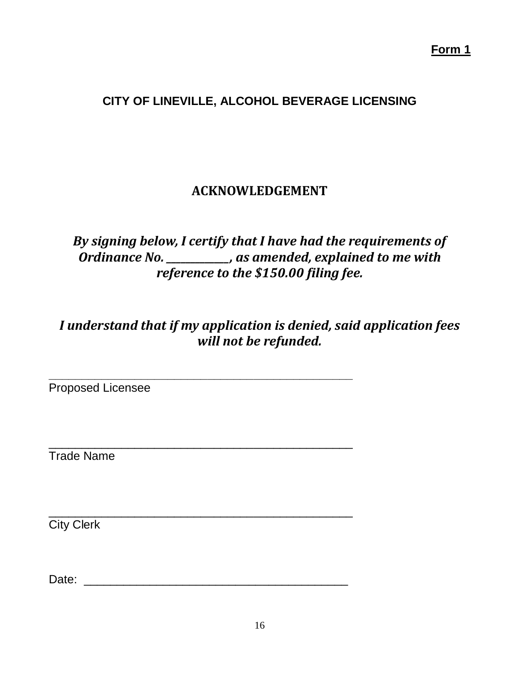## **CITY OF LINEVILLE, ALCOHOL BEVERAGE LICENSING**

# **ACKNOWLEDGEMENT**

# *By signing below, I certify that I have had the requirements of Ordinance No. \_\_\_\_\_\_\_\_\_\_\_\_\_, as amended, explained to me with reference to the \$150.00 filing fee.*

*I understand that if my application is denied, said application fees will not be refunded.*

**\_\_\_\_\_\_\_\_\_\_\_\_\_\_\_\_\_\_\_\_\_\_\_\_\_\_\_\_\_\_\_\_\_\_\_\_\_\_\_\_\_\_\_\_\_\_**

\_\_\_\_\_\_\_\_\_\_\_\_\_\_\_\_\_\_\_\_\_\_\_\_\_\_\_\_\_\_\_\_\_\_\_\_\_\_\_\_\_\_\_\_\_\_

\_\_\_\_\_\_\_\_\_\_\_\_\_\_\_\_\_\_\_\_\_\_\_\_\_\_\_\_\_\_\_\_\_\_\_\_\_\_\_\_\_\_\_\_\_\_

Proposed Licensee

Trade Name

City Clerk

Date: \_\_\_\_\_\_\_\_\_\_\_\_\_\_\_\_\_\_\_\_\_\_\_\_\_\_\_\_\_\_\_\_\_\_\_\_\_\_\_\_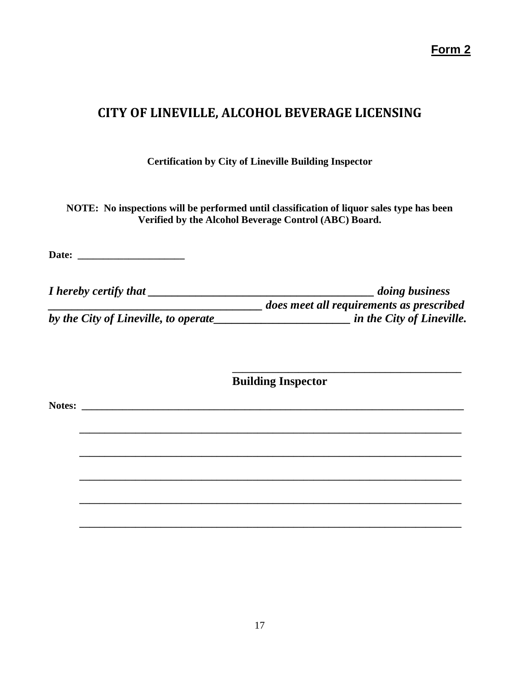**Form 2**

# **CITY OF LINEVILLE, ALCOHOL BEVERAGE LICENSING**

**Certification by City of Lineville Building Inspector**

**NOTE: No inspections will be performed until classification of liquor sales type has been Verified by the Alcohol Beverage Control (ABC) Board.**

**Date: \_\_\_\_\_\_\_\_\_\_\_\_\_\_\_\_\_\_\_\_\_**

| I hereby certify that                | <i>doing business</i>                    |
|--------------------------------------|------------------------------------------|
|                                      | does meet all requirements as prescribed |
| by the City of Lineville, to operate | in the City of Lineville.                |

**Building Inspector**

**\_\_\_\_\_\_\_\_\_\_\_\_\_\_\_\_\_\_\_\_\_\_\_\_\_\_\_\_\_\_\_\_\_\_\_\_\_\_\_\_\_\_\_\_\_\_\_\_\_\_\_\_\_\_\_\_\_\_\_\_\_\_\_\_\_\_\_\_\_\_\_\_\_\_\_**

**\_\_\_\_\_\_\_\_\_\_\_\_\_\_\_\_\_\_\_\_\_\_\_\_\_\_\_\_\_\_\_\_\_\_\_\_\_\_\_\_\_\_\_\_\_\_\_\_\_\_\_\_\_\_\_\_\_\_\_\_\_\_\_\_\_\_\_\_\_\_\_\_\_\_\_**

**\_\_\_\_\_\_\_\_\_\_\_\_\_\_\_\_\_\_\_\_\_\_\_\_\_\_\_\_\_\_\_\_\_\_\_\_\_\_\_\_\_\_\_\_\_\_\_\_\_\_\_\_\_\_\_\_\_\_\_\_\_\_\_\_\_\_\_\_\_\_\_\_\_\_\_**

**\_\_\_\_\_\_\_\_\_\_\_\_\_\_\_\_\_\_\_\_\_\_\_\_\_\_\_\_\_\_\_\_\_\_\_\_\_\_\_\_\_\_\_\_\_\_\_\_\_\_\_\_\_\_\_\_\_\_\_\_\_\_\_\_\_\_\_\_\_\_\_\_\_\_\_**

**\_\_\_\_\_\_\_\_\_\_\_\_\_\_\_\_\_\_\_\_\_\_\_\_\_\_\_\_\_\_\_\_\_\_\_\_\_\_\_\_\_\_\_\_\_\_\_\_\_\_\_\_\_\_\_\_\_\_\_\_\_\_\_\_\_\_\_\_\_\_\_\_\_\_\_**

**\_\_\_\_\_\_\_\_\_\_\_\_\_\_\_\_\_\_\_\_\_\_\_\_\_\_\_\_\_\_\_\_\_\_\_\_\_\_\_\_\_\_\_\_\_**

**Notes: \_\_\_\_\_\_\_\_\_\_\_\_\_\_\_\_\_\_\_\_\_\_\_\_\_\_\_\_\_\_\_\_\_\_\_\_\_\_\_\_\_\_\_\_\_\_\_\_\_\_\_\_\_\_\_\_\_\_\_\_\_\_\_\_\_\_\_\_\_\_\_\_\_\_\_**